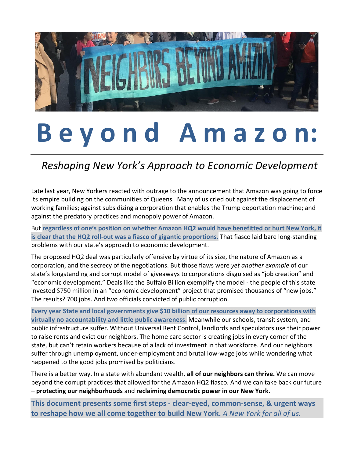

# **B e y o n d A m a z o n:**

 *Reshaping New York's Approach to Economic Development*

Late last year, New Yorkers reacted with outrage to the announcement that Amazon was going to force its empire building on the communities of Queens. Many of us cried out against the displacement of working families; against subsidizing a corporation that enables the Trump deportation machine; and against the predatory practices and monopoly power of Amazon.

But **regardless of one's position on whether Amazon HQ2 would have benefitted or hurt New York, it is clear that the HQ2 roll-out was a fiasco of gigantic proportions.** That fiasco laid bare long-standing problems with our state's approach to economic development.

The proposed HQ2 deal was particularly offensive by virtue of its size, the nature of Amazon as a corporation, and the secrecy of the negotiations. But those flaws were *yet another example* of our state's longstanding and corrupt model of giveaways to corporations disguised as "job creation" and "economic development." Deals like the Buffalo Billion exemplify the model - the people of this state invested \$750 million in an "economic development" project that promised thousands of "new jobs." The results? 700 jobs. And two officials convicted of public corruption.

**Every year State and local governments give \$10 billion of our resources away to corporations with virtually no accountability and little public awareness.** Meanwhile our schools, transit system, and public infrastructure suffer. Without Universal Rent Control, landlords and speculators use their power to raise rents and evict our neighbors. The home care sector is creating jobs in every corner of the state, but can't retain workers because of a lack of investment in that workforce. And our neighbors suffer through unemployment, under-employment and brutal low-wage jobs while wondering what happened to the good jobs promised by politicians.

There is a better way. In a state with abundant wealth, **all of our neighbors can thrive.** We can move beyond the corrupt practices that allowed for the Amazon HQ2 fiasco. And we can take back our future – **protecting our neighborhoods** and **reclaiming democratic power in our New York.** 

**This document presents some first steps - clear-eyed, common-sense, & urgent ways to reshape how we all come together to build New York.** *A New York for all of us.*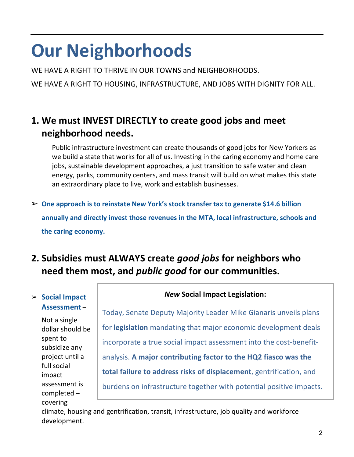# **Our Neighborhoods**

WE HAVE A RIGHT TO THRIVE IN OUR TOWNS and NEIGHBORHOODS.

WE HAVE A RIGHT TO HOUSING, INFRASTRUCTURE, AND JOBS WITH DIGNITY FOR ALL.

### **1. We must INVEST DIRECTLY to create good jobs and meet neighborhood needs.**

Public infrastructure investment can create thousands of good jobs for New Yorkers as we build a state that works for all of us. Investing in the caring economy and home care jobs, sustainable development approaches, a just transition to safe water and clean energy, parks, community centers, and mass transit will build on what makes this state an extraordinary place to live, work and establish businesses.

➢ **One approach is to reinstate New York's stock transfer tax to generate \$14.6 billion annually and directly invest those revenues in the MTA, local infrastructure, schools and the caring economy.**

### **2. Subsidies must ALWAYS create** *good jobs* **for neighbors who need them most, and** *public good* **for our communities.**

#### ➢ **Social Impact Assessment** –

Not a single dollar should be spent to subsidize any project until a full social impact assessment is completed – covering

*New* **Social Impact Legislation:**

Today, Senate Deputy Majority Leader Mike Gianaris unveils plans for **legislation** mandating that major economic development deals incorporate a true social impact assessment into the cost-benefitanalysis. **A major contributing factor to the HQ2 fiasco was the total failure to address risks of displacement**, gentrification, and burdens on infrastructure together with potential positive impacts.

climate, housing and gentrification, transit, infrastructure, job quality and workforce development.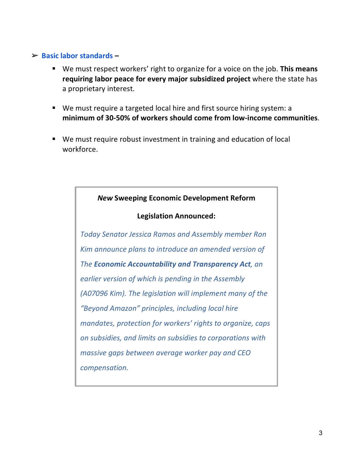#### ➢ **Basic labor standards –**

- We must respect workers' right to organize for a voice on the job. **This means requiring labor peace for every major subsidized project** where the state has a proprietary interest.
- We must require a targeted local hire and first source hiring system: a **minimum of 30-50% of workers should come from low-income communities**.
- We must require robust investment in training and education of local workforce.



#### **Legislation Announced:**

*Today Senator Jessica Ramos and Assembly member Ron Kim announce plans to introduce an amended version of The Economic Accountability and Transparency Act, an earlier version of which is pending in the Assembly (A07096 Kim). The legislation will implement many of the "Beyond Amazon" principles, including local hire mandates, protection for workers' rights to organize, caps on subsidies, and limits on subsidies to corporations with massive gaps between average worker pay and CEO compensation.*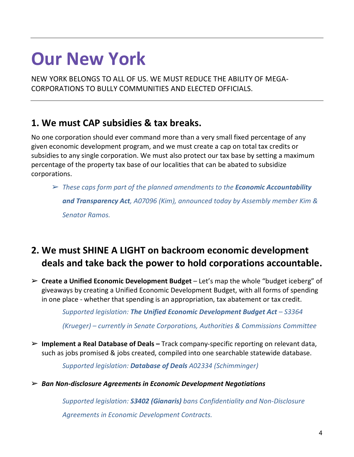## **Our New York**

NEW YORK BELONGS TO ALL OF US. WE MUST REDUCE THE ABILITY OF MEGA-CORPORATIONS TO BULLY COMMUNITIES AND ELECTED OFFICIALS.

### **1. We must CAP subsidies & tax breaks.**

No one corporation should ever command more than a very small fixed percentage of any given economic development program, and we must create a cap on total tax credits or subsidies to any single corporation. We must also protect our tax base by setting a maximum percentage of the property tax base of our localities that can be abated to subsidize corporations.

➢ *These caps form part of the planned amendments to the Economic Accountability and Transparency Act, A07096 (Kim), announced today by Assembly member Kim & Senator Ramos.*

### **2. We must SHINE A LIGHT on backroom economic development deals and take back the power to hold corporations accountable.**

➢ **Create a Unified Economic Development Budget** – Let's map the whole "budget iceberg" of giveaways by creating a Unified Economic Development Budget, with all forms of spending in one place - whether that spending is an appropriation, tax abatement or tax credit.

*Supported legislation: The Unified Economic Development Budget Act – S3364* 

*(Krueger) – currently in Senate Corporations, Authorities & Commissions Committee*

➢ **Implement a Real Database of Deals –** Track company-specific reporting on relevant data, such as jobs promised & jobs created, compiled into one searchable statewide database.

*Supported legislation: Database of Deals A02334 (Schimminger)* 

➢ *Ban Non-disclosure Agreements in Economic Development Negotiations* 

*Supported legislation: S3402 (Gianaris) bans Confidentiality and Non-Disclosure Agreements in Economic Development Contracts.*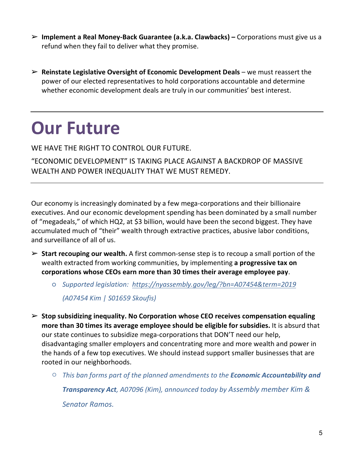- ➢ **Implement a Real Money-Back Guarantee (a.k.a. Clawbacks) –** Corporations must give us a refund when they fail to deliver what they promise.
- ➢ **Reinstate Legislative Oversight of Economic Development Deals** we must reassert the power of our elected representatives to hold corporations accountable and determine whether economic development deals are truly in our communities' best interest.

# **Our Future**

WE HAVE THE RIGHT TO CONTROL OUR FUTURE.

"ECONOMIC DEVELOPMENT" IS TAKING PLACE AGAINST A BACKDROP OF MASSIVE WEALTH AND POWER INEQUALITY THAT WE MUST REMEDY.

Our economy is increasingly dominated by a few mega-corporations and their billionaire executives. And our economic development spending has been dominated by a small number of "megadeals," of which HQ2, at \$3 billion, would have been the second biggest. They have accumulated much of "their" wealth through extractive practices, abusive labor conditions, and surveillance of all of us.

- ➢ **Start recouping our wealth.** A first common-sense step is to recoup a small portion of the wealth extracted from working communities, by implementing **a progressive tax on corporations whose CEOs earn more than 30 times their average employee pay**.
	- *Supported legislation: https://nyassembly.gov/leg/?bn=A07454&term=2019*

*(A07454 Kim | S01659 Skoufis)*

- ➢ **Stop subsidizing inequality. No Corporation whose CEO receives compensation equaling more than 30 times its average employee should be eligible for subsidies.** It is absurd that our state continues to subsidize mega-corporations that DON'T need our help, disadvantaging smaller employers and concentrating more and more wealth and power in the hands of a few top executives. We should instead support smaller businesses that are rooted in our neighborhoods.
	- *This ban forms part of the planned amendments to the Economic Accountability and Transparency Act, A07096 (Kim), announced today by Assembly member Kim & Senator Ramos.*